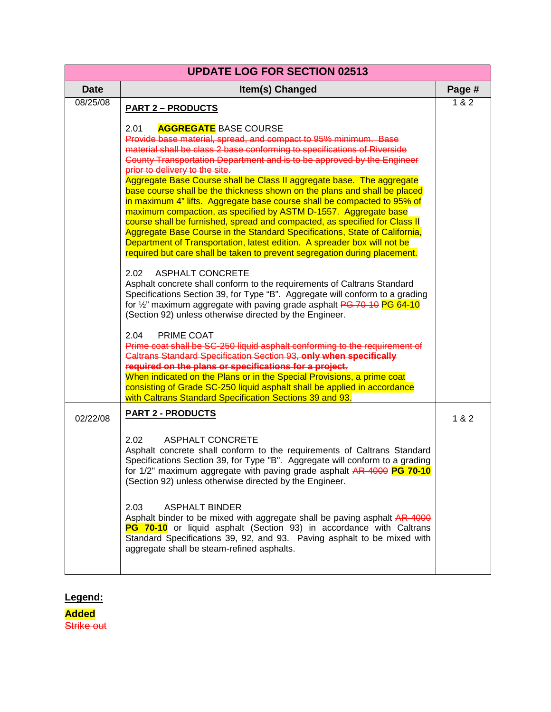| <b>UPDATE LOG FOR SECTION 02513</b> |                                                                                                                                                                                                                                                                                                                                                                                                                                                                                                                                  |        |
|-------------------------------------|----------------------------------------------------------------------------------------------------------------------------------------------------------------------------------------------------------------------------------------------------------------------------------------------------------------------------------------------------------------------------------------------------------------------------------------------------------------------------------------------------------------------------------|--------|
| <b>Date</b>                         | Item(s) Changed                                                                                                                                                                                                                                                                                                                                                                                                                                                                                                                  | Page # |
| 08/25/08                            | <b>PART 2 - PRODUCTS</b>                                                                                                                                                                                                                                                                                                                                                                                                                                                                                                         | 182    |
|                                     | <b>AGGREGATE BASE COURSE</b><br>2.01<br>Provide base material, spread, and compact to 95% minimum. Base<br>material shall be class 2 base conforming to specifications of Riverside<br>County Transportation Department and is to be approved by the Engineer<br>prior to delivery to the site.<br>Aggregate Base Course shall be Class II aggregate base. The aggregate<br>base course shall be the thickness shown on the plans and shall be placed<br>in maximum 4" lifts. Aggregate base course shall be compacted to 95% of |        |
|                                     | maximum compaction, as specified by ASTM D-1557. Aggregate base<br>course shall be furnished, spread and compacted, as specified for Class II<br>Aggregate Base Course in the Standard Specifications, State of California,<br>Department of Transportation, latest edition. A spreader box will not be<br>required but care shall be taken to prevent segregation during placement.                                                                                                                                             |        |
|                                     | 2.02<br><b>ASPHALT CONCRETE</b><br>Asphalt concrete shall conform to the requirements of Caltrans Standard<br>Specifications Section 39, for Type "B". Aggregate will conform to a grading<br>for 1/2" maximum aggregate with paving grade asphalt PG 70-10 PG 64-10<br>(Section 92) unless otherwise directed by the Engineer.                                                                                                                                                                                                  |        |
|                                     | PRIME COAT<br>2.04<br>Prime coat shall be SC-250 liquid asphalt conforming to the requirement of<br>Caltrans Standard Specification Section 93, only when specifically<br>required on the plans or specifications for a project.<br>When indicated on the Plans or in the Special Provisions, a prime coat<br>consisting of Grade SC-250 liquid asphalt shall be applied in accordance<br>with Caltrans Standard Specification Sections 39 and 93.                                                                               |        |
| 02/22/08                            | <b>PART 2 - PRODUCTS</b>                                                                                                                                                                                                                                                                                                                                                                                                                                                                                                         | 1 & 2  |
|                                     | 2.02<br><b>ASPHALT CONCRETE</b><br>Asphalt concrete shall conform to the requirements of Caltrans Standard<br>Specifications Section 39, for Type "B". Aggregate will conform to a grading<br>for 1/2" maximum aggregate with paving grade asphalt AR-4000 PG 70-10<br>(Section 92) unless otherwise directed by the Engineer.                                                                                                                                                                                                   |        |
|                                     | 2.03<br><b>ASPHALT BINDER</b><br>Asphalt binder to be mixed with aggregate shall be paving asphalt AR-4000<br>PG 70-10 or liquid asphalt (Section 93) in accordance with Caltrans<br>Standard Specifications 39, 92, and 93. Paving asphalt to be mixed with<br>aggregate shall be steam-refined asphalts.                                                                                                                                                                                                                       |        |

## **Legend:**

**Added Strike out**